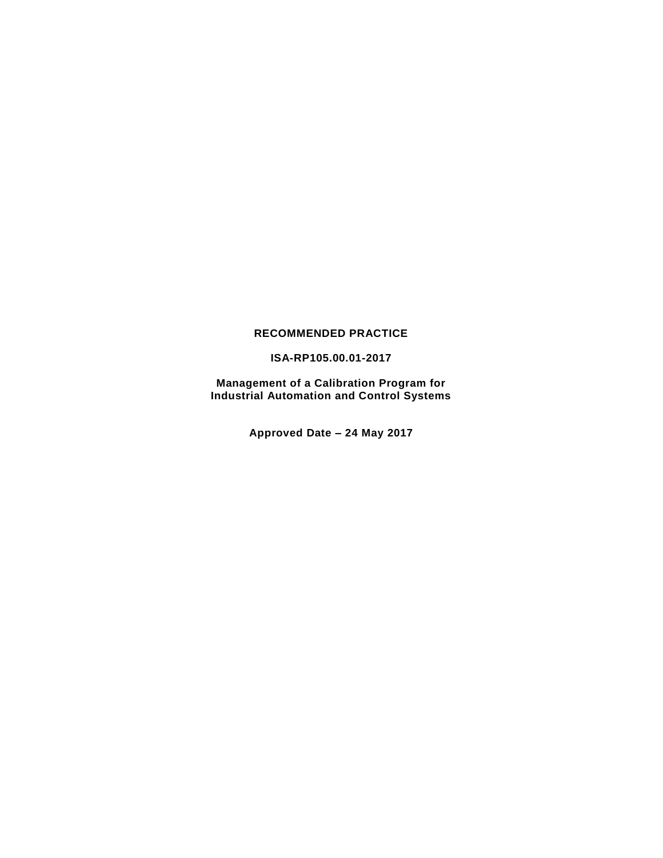### **RECOMMENDED PRACTICE**

## **ISA-RP105.00.01-2017**

**Management of a Calibration Program for Industrial Automation and Control Systems**

**Approved Date – 24 May 2017**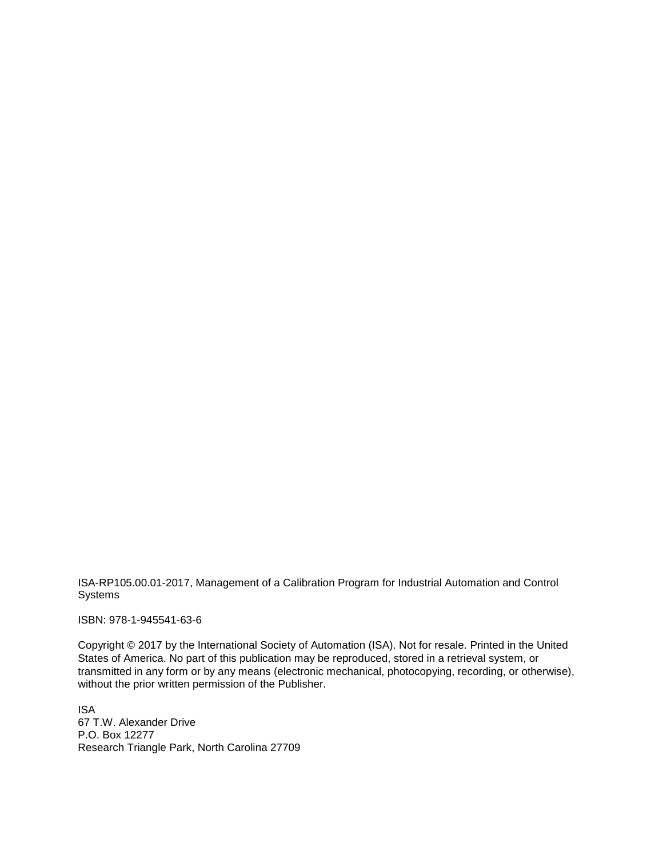ISA-RP105.00.01-2017, Management of a Calibration Program for Industrial Automation and Control Systems

ISBN: 978-1-945541-63-6

Copyright © 2017 by the International Society of Automation (ISA). Not for resale. Printed in the United States of America. No part of this publication may be reproduced, stored in a retrieval system, or transmitted in any form or by any means (electronic mechanical, photocopying, recording, or otherwise), without the prior written permission of the Publisher.

ISA 67 T.W. Alexander Drive P.O. Box 12277 Research Triangle Park, North Carolina 27709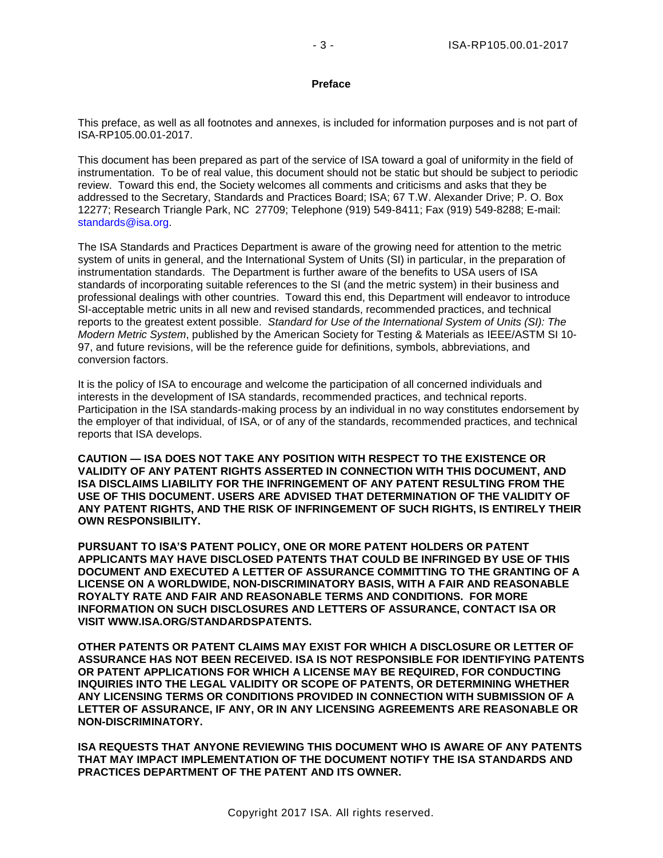### **Preface**

This preface, as well as all footnotes and annexes, is included for information purposes and is not part of ISA-RP105.00.01-2017.

This document has been prepared as part of the service of ISA toward a goal of uniformity in the field of instrumentation. To be of real value, this document should not be static but should be subject to periodic review. Toward this end, the Society welcomes all comments and criticisms and asks that they be addressed to the Secretary, Standards and Practices Board; ISA; 67 T.W. Alexander Drive; P. O. Box 12277; Research Triangle Park, NC 27709; Telephone (919) 549-8411; Fax (919) 549-8288; E-mail: [standards@isa.org.](mailto:standards@isa.org)

The ISA Standards and Practices Department is aware of the growing need for attention to the metric system of units in general, and the International System of Units (SI) in particular, in the preparation of instrumentation standards. The Department is further aware of the benefits to USA users of ISA standards of incorporating suitable references to the SI (and the metric system) in their business and professional dealings with other countries. Toward this end, this Department will endeavor to introduce SI-acceptable metric units in all new and revised standards, recommended practices, and technical reports to the greatest extent possible. *Standard for Use of the International System of Units (SI): The Modern Metric System*, published by the American Society for Testing & Materials as IEEE/ASTM SI 10- 97, and future revisions, will be the reference guide for definitions, symbols, abbreviations, and conversion factors.

It is the policy of ISA to encourage and welcome the participation of all concerned individuals and interests in the development of ISA standards, recommended practices, and technical reports. Participation in the ISA standards-making process by an individual in no way constitutes endorsement by the employer of that individual, of ISA, or of any of the standards, recommended practices, and technical reports that ISA develops.

**CAUTION — ISA DOES NOT TAKE ANY POSITION WITH RESPECT TO THE EXISTENCE OR VALIDITY OF ANY PATENT RIGHTS ASSERTED IN CONNECTION WITH THIS DOCUMENT, AND ISA DISCLAIMS LIABILITY FOR THE INFRINGEMENT OF ANY PATENT RESULTING FROM THE USE OF THIS DOCUMENT. USERS ARE ADVISED THAT DETERMINATION OF THE VALIDITY OF ANY PATENT RIGHTS, AND THE RISK OF INFRINGEMENT OF SUCH RIGHTS, IS ENTIRELY THEIR OWN RESPONSIBILITY.** 

**PURSUANT TO ISA'S PATENT POLICY, ONE OR MORE PATENT HOLDERS OR PATENT APPLICANTS MAY HAVE DISCLOSED PATENTS THAT COULD BE INFRINGED BY USE OF THIS DOCUMENT AND EXECUTED A LETTER OF ASSURANCE COMMITTING TO THE GRANTING OF A LICENSE ON A WORLDWIDE, NON-DISCRIMINATORY BASIS, WITH A FAIR AND REASONABLE ROYALTY RATE AND FAIR AND REASONABLE TERMS AND CONDITIONS. FOR MORE INFORMATION ON SUCH DISCLOSURES AND LETTERS OF ASSURANCE, CONTACT ISA OR VISIT [WWW.ISA.ORG/STANDARDSPATENTS.](http://www.isa.org/StandardsPatents)**

**OTHER PATENTS OR PATENT CLAIMS MAY EXIST FOR WHICH A DISCLOSURE OR LETTER OF ASSURANCE HAS NOT BEEN RECEIVED. ISA IS NOT RESPONSIBLE FOR IDENTIFYING PATENTS OR PATENT APPLICATIONS FOR WHICH A LICENSE MAY BE REQUIRED, FOR CONDUCTING INQUIRIES INTO THE LEGAL VALIDITY OR SCOPE OF PATENTS, OR DETERMINING WHETHER ANY LICENSING TERMS OR CONDITIONS PROVIDED IN CONNECTION WITH SUBMISSION OF A LETTER OF ASSURANCE, IF ANY, OR IN ANY LICENSING AGREEMENTS ARE REASONABLE OR NON-DISCRIMINATORY.**

**ISA REQUESTS THAT ANYONE REVIEWING THIS DOCUMENT WHO IS AWARE OF ANY PATENTS THAT MAY IMPACT IMPLEMENTATION OF THE DOCUMENT NOTIFY THE ISA STANDARDS AND PRACTICES DEPARTMENT OF THE PATENT AND ITS OWNER.**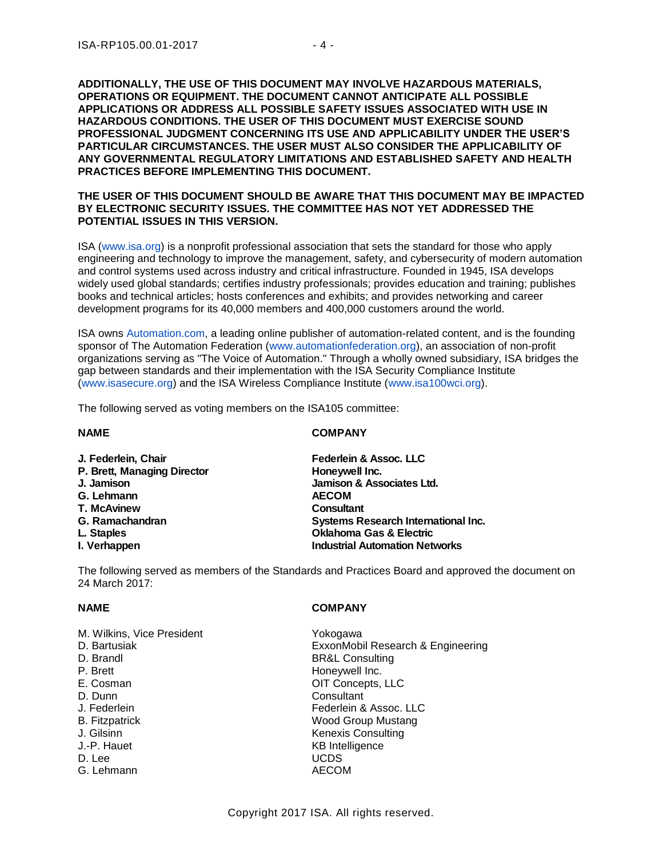**ADDITIONALLY, THE USE OF THIS DOCUMENT MAY INVOLVE HAZARDOUS MATERIALS, OPERATIONS OR EQUIPMENT. THE DOCUMENT CANNOT ANTICIPATE ALL POSSIBLE APPLICATIONS OR ADDRESS ALL POSSIBLE SAFETY ISSUES ASSOCIATED WITH USE IN HAZARDOUS CONDITIONS. THE USER OF THIS DOCUMENT MUST EXERCISE SOUND PROFESSIONAL JUDGMENT CONCERNING ITS USE AND APPLICABILITY UNDER THE USER'S PARTICULAR CIRCUMSTANCES. THE USER MUST ALSO CONSIDER THE APPLICABILITY OF ANY GOVERNMENTAL REGULATORY LIMITATIONS AND ESTABLISHED SAFETY AND HEALTH PRACTICES BEFORE IMPLEMENTING THIS DOCUMENT.**

### **THE USER OF THIS DOCUMENT SHOULD BE AWARE THAT THIS DOCUMENT MAY BE IMPACTED BY ELECTRONIC SECURITY ISSUES. THE COMMITTEE HAS NOT YET ADDRESSED THE POTENTIAL ISSUES IN THIS VERSION.**

ISA [\(www.isa.org\)](https://www.isa.org/) is a nonprofit professional association that sets the standard for those who apply engineering and technology to improve the management, safety, and cybersecurity of modern automation and control systems used across industry and critical infrastructure. Founded in 1945, ISA develops widely used global standards; certifies industry professionals; provides education and training; publishes books and technical articles; hosts conferences and exhibits; and provides networking and career development programs for its 40,000 members and 400,000 customers around the world.

ISA owns [Automation.com,](http://www.automation.com/) a leading online publisher of automation-related content, and is the founding sponsor of The Automation Federation [\(www.automationfederation.org\)](http://www.automationfederation.org/), an association of non-profit organizations serving as "The Voice of Automation." Through a wholly owned subsidiary, ISA bridges the gap between standards and their implementation with the ISA Security Compliance Institute [\(www.isasecure.org\)](http://www.isasecure.org/) and the ISA Wireless Compliance Institute [\(www.isa100wci.org\)](http://www.isa100wci.org/).

The following served as voting members on the ISA105 committee:

### **NAME COMPANY**

| J. Federlein, Chair         | Federlein & Assoc. LLC                |
|-----------------------------|---------------------------------------|
| P. Brett, Managing Director | Honeywell Inc.                        |
| J. Jamison                  | Jamison & Associates Ltd.             |
| G. Lehmann                  | <b>AECOM</b>                          |
| T. McAvinew                 | Consultant                            |
| G. Ramachandran             | Systems Research International Inc.   |
| L. Staples                  | <b>Oklahoma Gas &amp; Electric</b>    |
| I. Verhappen                | <b>Industrial Automation Networks</b> |
|                             |                                       |

The following served as members of the Standards and Practices Board and approved the document on 24 March 2017:

### **NAME COMPANY**

| M. Wilkins, Vice President | Yokogawa                          |
|----------------------------|-----------------------------------|
| D. Bartusiak               | ExxonMobil Research & Engineering |
| D. Brandl                  | <b>BR&amp;L Consulting</b>        |
| P. Brett                   | Honeywell Inc.                    |
| E. Cosman                  | OIT Concepts, LLC                 |
| D. Dunn                    | Consultant                        |
| J. Federlein               | Federlein & Assoc. LLC            |
| <b>B.</b> Fitzpatrick      | Wood Group Mustang                |
| J. Gilsinn                 | <b>Kenexis Consulting</b>         |
| J.-P. Hauet                | <b>KB</b> Intelligence            |
| D. Lee                     | <b>UCDS</b>                       |
| G. Lehmann                 | <b>AECOM</b>                      |
|                            |                                   |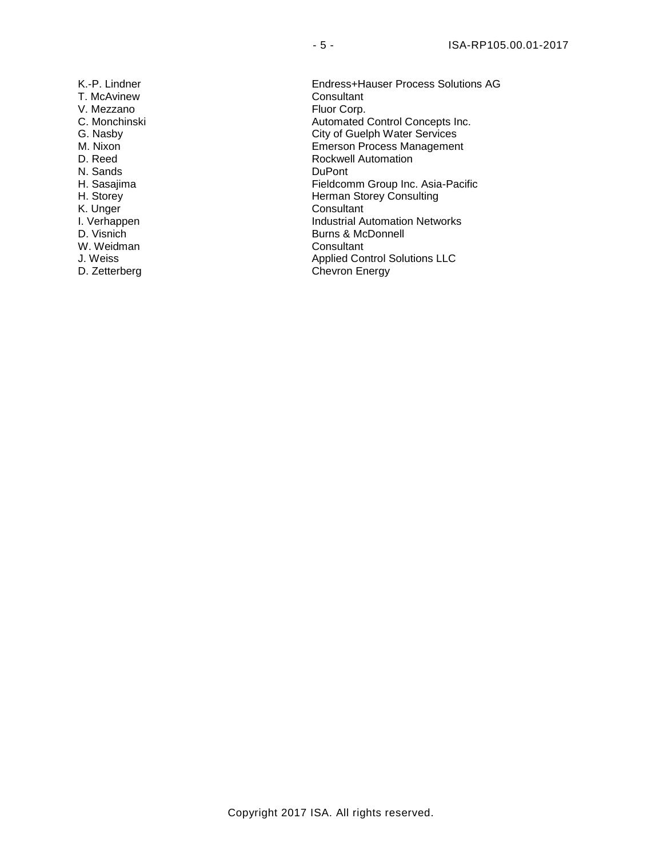T. McAvinew Consultant V. Mezzano<br>C. Monchinski N. Sands DuPont K. Unger Consultant<br>
I. Verhappen Consultant<br>
Industrial A W. Weidman **Consultant**<br>
U. Weiss **Consultant**<br>
U. Weiss **Consultant** 

K.-P. Lindner **Endress+Hauser Process Solutions AG**<br>T. McAvinew **Consultant** Automated Control Concepts Inc. G. Nasby **City of Guelph Water Services** M. Nixon Emerson Process Management<br>
D. Reed B. Reed Rockwell Automation **Rockwell Automation** H. Sasajima **Fieldcomm Group Inc. Asia-Pacific**<br>
Herman Storey Consulting Herman Storey Consulting I. Verhappen I. Verhappen I. Verhappen I. Verhappen I. Verhappen I. Visnich I. Visnich I. Visnich I. Visnich I Burns & McDonnell J. Weiss J. Weiss Applied Control Solutions LLC<br>
D. Zetterberg Chevron Energy Chevron Energy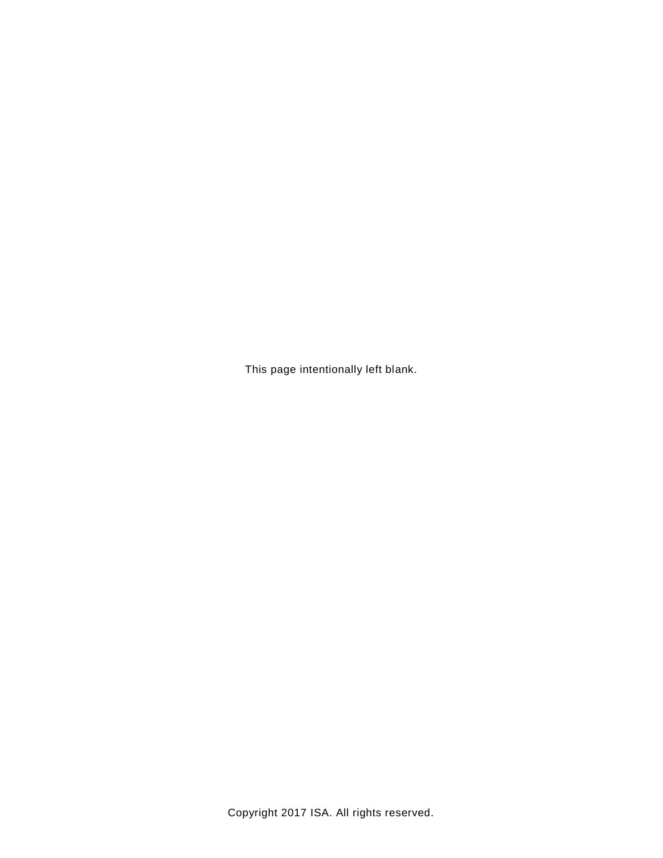This page intentionally left blank.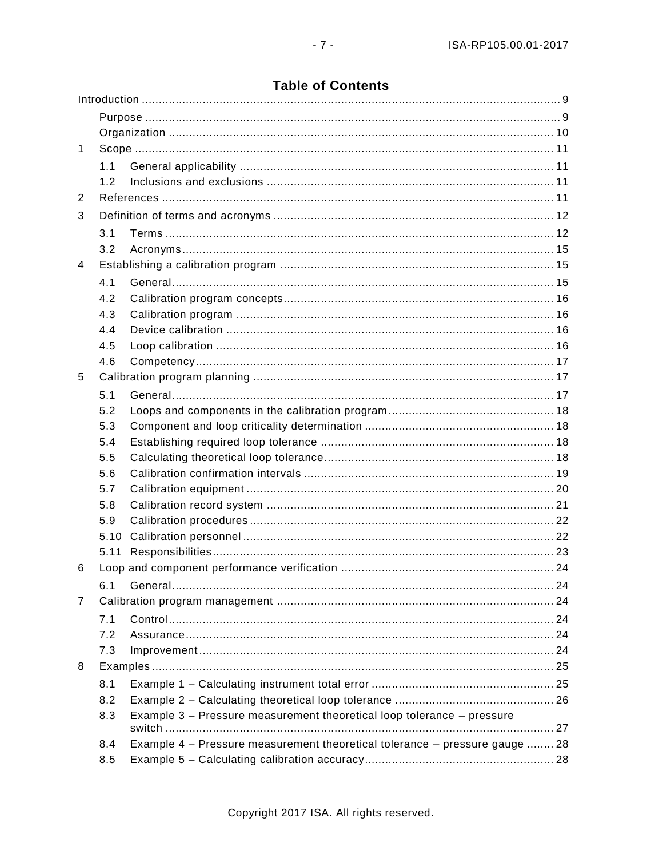# **Table of Contents**

| 1 |      |                                                                             |  |
|---|------|-----------------------------------------------------------------------------|--|
|   | 1.1  |                                                                             |  |
|   | 1.2  |                                                                             |  |
| 2 |      |                                                                             |  |
| 3 |      |                                                                             |  |
|   | 3.1  |                                                                             |  |
|   | 3.2  |                                                                             |  |
| 4 |      |                                                                             |  |
|   | 4.1  |                                                                             |  |
|   | 4.2  |                                                                             |  |
|   | 4.3  |                                                                             |  |
|   | 4.4  |                                                                             |  |
|   | 4.5  |                                                                             |  |
|   | 4.6  |                                                                             |  |
| 5 |      |                                                                             |  |
|   | 5.1  |                                                                             |  |
|   | 5.2  |                                                                             |  |
|   | 5.3  |                                                                             |  |
|   | 5.4  |                                                                             |  |
|   | 5.5  |                                                                             |  |
|   | 5.6  |                                                                             |  |
|   | 5.7  |                                                                             |  |
|   | 5.8  |                                                                             |  |
|   | 5.9  |                                                                             |  |
|   | 5.10 |                                                                             |  |
|   | 5.11 |                                                                             |  |
| 6 |      |                                                                             |  |
|   |      |                                                                             |  |
| 7 | 6.1  |                                                                             |  |
|   |      |                                                                             |  |
|   | 7.1  |                                                                             |  |
|   | 7.2  |                                                                             |  |
|   | 7.3  |                                                                             |  |
| 8 |      |                                                                             |  |
|   | 8.1  |                                                                             |  |
|   | 8.2  |                                                                             |  |
|   | 8.3  | Example 3 - Pressure measurement theoretical loop tolerance - pressure      |  |
|   | 8.4  | Example 4 - Pressure measurement theoretical tolerance - pressure gauge  28 |  |
|   | 8.5  |                                                                             |  |
|   |      |                                                                             |  |